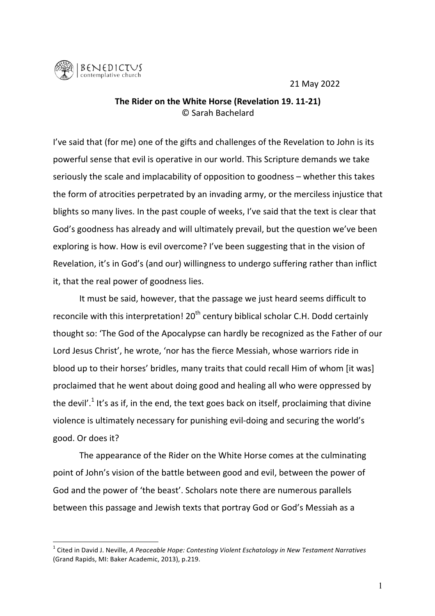21 May 2022



## **The Rider on the White Horse (Revelation 19. 11-21)** © Sarah Bachelard

I've said that (for me) one of the gifts and challenges of the Revelation to John is its powerful sense that evil is operative in our world. This Scripture demands we take seriously the scale and implacability of opposition to goodness – whether this takes the form of atrocities perpetrated by an invading army, or the merciless injustice that blights so many lives. In the past couple of weeks, I've said that the text is clear that God's goodness has already and will ultimately prevail, but the question we've been exploring is how. How is evil overcome? I've been suggesting that in the vision of Revelation, it's in God's (and our) willingness to undergo suffering rather than inflict it, that the real power of goodness lies.

It must be said, however, that the passage we just heard seems difficult to reconcile with this interpretation!  $20<sup>th</sup>$  century biblical scholar C.H. Dodd certainly thought so: 'The God of the Apocalypse can hardly be recognized as the Father of our Lord Jesus Christ', he wrote, 'nor has the fierce Messiah, whose warriors ride in blood up to their horses' bridles, many traits that could recall Him of whom [it was] proclaimed that he went about doing good and healing all who were oppressed by the devil'.<sup>1</sup> It's as if, in the end, the text goes back on itself, proclaiming that divine violence is ultimately necessary for punishing evil-doing and securing the world's good. Or does it?

The appearance of the Rider on the White Horse comes at the culminating point of John's vision of the battle between good and evil, between the power of God and the power of 'the beast'. Scholars note there are numerous parallels between this passage and Jewish texts that portray God or God's Messiah as a

<sup>&</sup>lt;sup>1</sup> Cited in David J. Neville, *A Peaceable Hope: Contesting Violent Eschatology in New Testament Narratives* (Grand Rapids, MI: Baker Academic, 2013), p.219.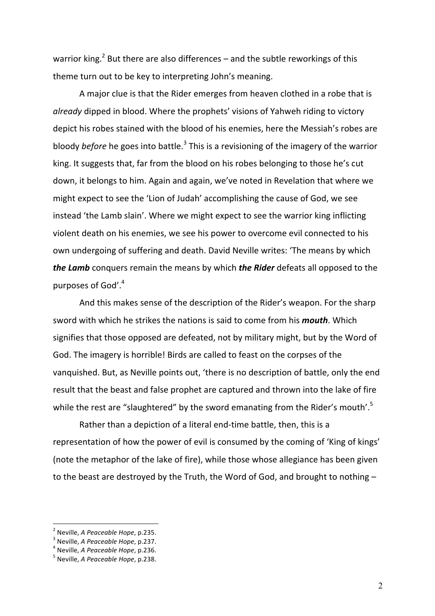warrior king.<sup>2</sup> But there are also differences – and the subtle reworkings of this theme turn out to be key to interpreting John's meaning.

A major clue is that the Rider emerges from heaven clothed in a robe that is *already* dipped in blood. Where the prophets' visions of Yahweh riding to victory depict his robes stained with the blood of his enemies, here the Messiah's robes are bloody *before* he goes into battle.<sup>3</sup> This is a revisioning of the imagery of the warrior king. It suggests that, far from the blood on his robes belonging to those he's cut down, it belongs to him. Again and again, we've noted in Revelation that where we might expect to see the 'Lion of Judah' accomplishing the cause of God, we see instead 'the Lamb slain'. Where we might expect to see the warrior king inflicting violent death on his enemies, we see his power to overcome evil connected to his own undergoing of suffering and death. David Neville writes: 'The means by which *the Lamb* conquers remain the means by which *the Rider* defeats all opposed to the purposes of God'.<sup>4</sup>

And this makes sense of the description of the Rider's weapon. For the sharp sword with which he strikes the nations is said to come from his *mouth*. Which signifies that those opposed are defeated, not by military might, but by the Word of God. The imagery is horrible! Birds are called to feast on the corpses of the vanquished. But, as Neville points out, 'there is no description of battle, only the end result that the beast and false prophet are captured and thrown into the lake of fire while the rest are "slaughtered" by the sword emanating from the Rider's mouth'.<sup>5</sup>

Rather than a depiction of a literal end-time battle, then, this is a representation of how the power of evil is consumed by the coming of 'King of kings' (note the metaphor of the lake of fire), while those whose allegiance has been given to the beast are destroyed by the Truth, the Word of God, and brought to nothing  $-$ 

<sup>&</sup>lt;sup>2</sup> Neville, *A* Peaceable Hope, p.235.<br><sup>3</sup> Neville, *A Peaceable Hope*, p.237.<br><sup>4</sup> Neville, *A Peaceable Hope*, p.236. 5 Neville, *A Peaceable Hope*, p.238.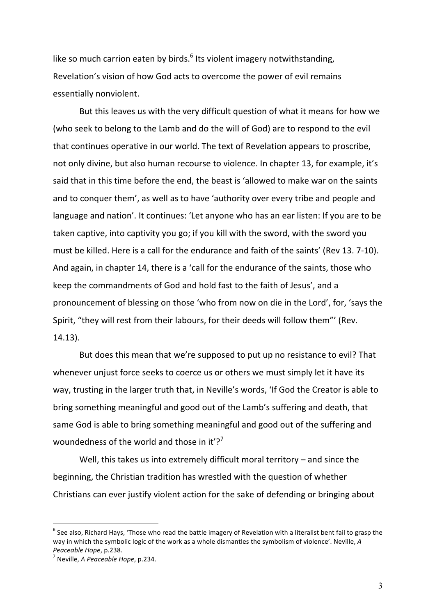like so much carrion eaten by birds. $<sup>6</sup>$  Its violent imagery notwithstanding,</sup> Revelation's vision of how God acts to overcome the power of evil remains essentially nonviolent.

But this leaves us with the very difficult question of what it means for how we (who seek to belong to the Lamb and do the will of God) are to respond to the evil that continues operative in our world. The text of Revelation appears to proscribe, not only divine, but also human recourse to violence. In chapter 13, for example, it's said that in this time before the end, the beast is 'allowed to make war on the saints and to conquer them', as well as to have 'authority over every tribe and people and language and nation'. It continues: 'Let anyone who has an ear listen: If you are to be taken captive, into captivity you go; if you kill with the sword, with the sword you must be killed. Here is a call for the endurance and faith of the saints' (Rev 13. 7-10). And again, in chapter 14, there is a 'call for the endurance of the saints, those who keep the commandments of God and hold fast to the faith of Jesus', and a pronouncement of blessing on those 'who from now on die in the Lord', for, 'says the Spirit, "they will rest from their labours, for their deeds will follow them"' (Rev. 14.13).

But does this mean that we're supposed to put up no resistance to evil? That whenever unjust force seeks to coerce us or others we must simply let it have its way, trusting in the larger truth that, in Neville's words, 'If God the Creator is able to bring something meaningful and good out of the Lamb's suffering and death, that same God is able to bring something meaningful and good out of the suffering and woundedness of the world and those in it'?<sup>7</sup>

Well, this takes us into extremely difficult moral territory  $-$  and since the beginning, the Christian tradition has wrestled with the question of whether Christians can ever justify violent action for the sake of defending or bringing about

 $6$  See also, Richard Hays, 'Those who read the battle imagery of Revelation with a literalist bent fail to grasp the way in which the symbolic logic of the work as a whole dismantles the symbolism of violence'. Neville, A *Peaceable Hope, p.238. Peaceable Hope, p.234.*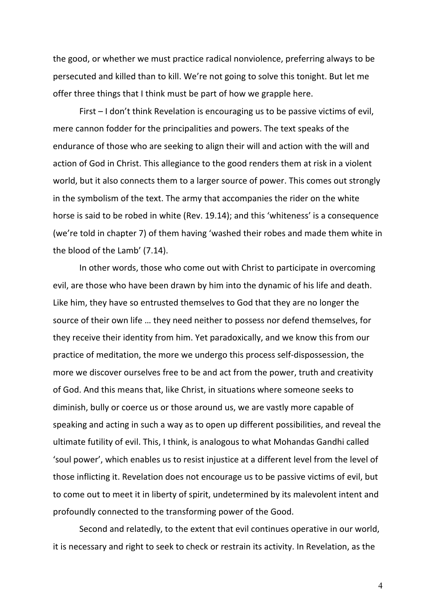the good, or whether we must practice radical nonviolence, preferring always to be persecuted and killed than to kill. We're not going to solve this tonight. But let me offer three things that I think must be part of how we grapple here.

First  $-1$  don't think Revelation is encouraging us to be passive victims of evil, mere cannon fodder for the principalities and powers. The text speaks of the endurance of those who are seeking to align their will and action with the will and action of God in Christ. This allegiance to the good renders them at risk in a violent world, but it also connects them to a larger source of power. This comes out strongly in the symbolism of the text. The army that accompanies the rider on the white horse is said to be robed in white (Rev. 19.14); and this 'whiteness' is a consequence (we're told in chapter 7) of them having 'washed their robes and made them white in the blood of the Lamb' (7.14).

In other words, those who come out with Christ to participate in overcoming evil, are those who have been drawn by him into the dynamic of his life and death. Like him, they have so entrusted themselves to God that they are no longer the source of their own life ... they need neither to possess nor defend themselves, for they receive their identity from him. Yet paradoxically, and we know this from our practice of meditation, the more we undergo this process self-dispossession, the more we discover ourselves free to be and act from the power, truth and creativity of God. And this means that, like Christ, in situations where someone seeks to diminish, bully or coerce us or those around us, we are vastly more capable of speaking and acting in such a way as to open up different possibilities, and reveal the ultimate futility of evil. This, I think, is analogous to what Mohandas Gandhi called 'soul power', which enables us to resist injustice at a different level from the level of those inflicting it. Revelation does not encourage us to be passive victims of evil, but to come out to meet it in liberty of spirit, undetermined by its malevolent intent and profoundly connected to the transforming power of the Good.

Second and relatedly, to the extent that evil continues operative in our world, it is necessary and right to seek to check or restrain its activity. In Revelation, as the

4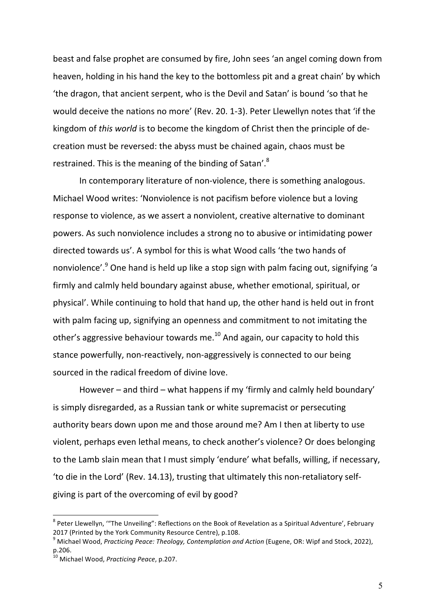beast and false prophet are consumed by fire, John sees 'an angel coming down from heaven, holding in his hand the key to the bottomless pit and a great chain' by which 'the dragon, that ancient serpent, who is the Devil and Satan' is bound 'so that he would deceive the nations no more' (Rev. 20. 1-3). Peter Llewellyn notes that 'if the kingdom of *this world* is to become the kingdom of Christ then the principle of decreation must be reversed: the abyss must be chained again, chaos must be restrained. This is the meaning of the binding of Satan'.<sup>8</sup>

In contemporary literature of non-violence, there is something analogous. Michael Wood writes: 'Nonviolence is not pacifism before violence but a loving response to violence, as we assert a nonviolent, creative alternative to dominant powers. As such nonviolence includes a strong no to abusive or intimidating power directed towards us'. A symbol for this is what Wood calls 'the two hands of nonviolence'.<sup>9</sup> One hand is held up like a stop sign with palm facing out, signifying 'a firmly and calmly held boundary against abuse, whether emotional, spiritual, or physical'. While continuing to hold that hand up, the other hand is held out in front with palm facing up, signifying an openness and commitment to not imitating the other's aggressive behaviour towards me.<sup>10</sup> And again, our capacity to hold this stance powerfully, non-reactively, non-aggressively is connected to our being sourced in the radical freedom of divine love.

However – and third – what happens if my 'firmly and calmly held boundary' is simply disregarded, as a Russian tank or white supremacist or persecuting authority bears down upon me and those around me? Am I then at liberty to use violent, perhaps even lethal means, to check another's violence? Or does belonging to the Lamb slain mean that I must simply 'endure' what befalls, willing, if necessary, 'to die in the Lord' (Rev. 14.13), trusting that ultimately this non-retaliatory selfgiving is part of the overcoming of evil by good?

 $8$  Peter Llewellyn, "The Unveiling": Reflections on the Book of Revelation as a Spiritual Adventure', February 2017 (Printed by the York Community Resource Centre), p.108.

<sup>&</sup>lt;sup>9</sup> Michael Wood, *Practicing Peace: Theology, Contemplation and Action* (Eugene, OR: Wipf and Stock, 2022), p.206.

<sup>&</sup>lt;sup>10</sup> Michael Wood, *Practicing Peace*, p.207.